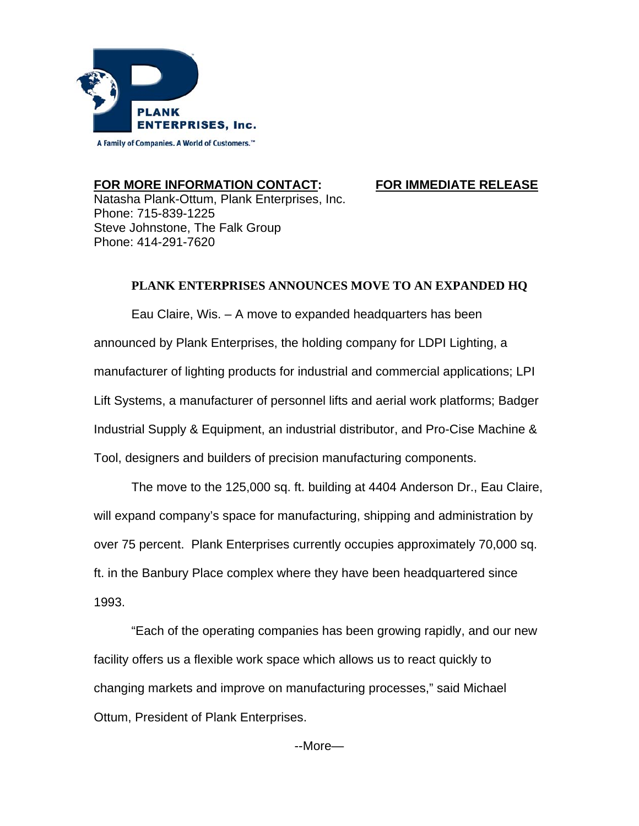

## **FOR MORE INFORMATION CONTACT: FOR IMMEDIATE RELEASE**

Natasha Plank-Ottum, Plank Enterprises, Inc. Phone: 715-839-1225 Steve Johnstone, The Falk Group Phone: 414-291-7620

## **PLANK ENTERPRISES ANNOUNCES MOVE TO AN EXPANDED HQ**

Eau Claire, Wis. – A move to expanded headquarters has been announced by Plank Enterprises, the holding company for LDPI Lighting, a manufacturer of lighting products for industrial and commercial applications; LPI Lift Systems, a manufacturer of personnel lifts and aerial work platforms; Badger Industrial Supply & Equipment, an industrial distributor, and Pro-Cise Machine & Tool, designers and builders of precision manufacturing components.

 The move to the 125,000 sq. ft. building at 4404 Anderson Dr., Eau Claire, will expand company's space for manufacturing, shipping and administration by over 75 percent. Plank Enterprises currently occupies approximately 70,000 sq. ft. in the Banbury Place complex where they have been headquartered since 1993.

 "Each of the operating companies has been growing rapidly, and our new facility offers us a flexible work space which allows us to react quickly to changing markets and improve on manufacturing processes," said Michael Ottum, President of Plank Enterprises.

--More—